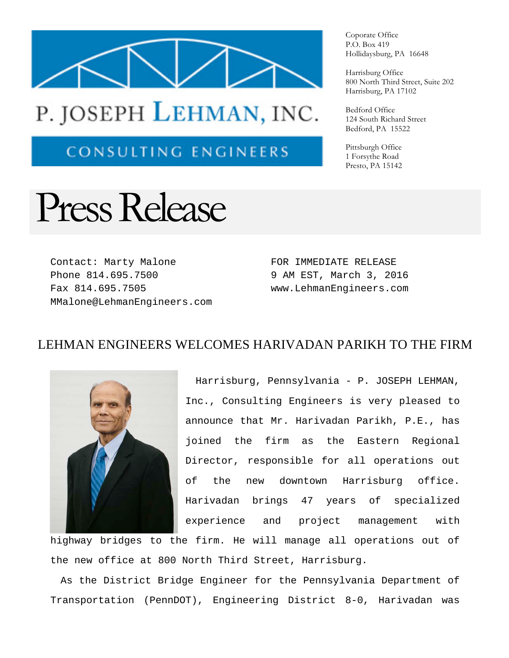

## P. JOSEPH LEHMAN, INC.

**CONSULTING ENGINEERS** 

## Press Release

Contact: Marty Malone Phone 814.695.7500 Fax 814.695.7505 MMalone@LehmanEngineers.com FOR IMMEDIATE RELEASE 9 AM EST, March 3, 2016 www.LehmanEngineers.com

## LEHMAN ENGINEERS WELCOMES HARIVADAN PARIKH TO THE FIRM



Harrisburg, Pennsylvania - P. JOSEPH LEHMAN, Inc., Consulting Engineers is very pleased to announce that Mr. Harivadan Parikh, P.E., has joined the firm as the Eastern Regional Director, responsible for all operations out of the new downtown Harrisburg office. Harivadan brings 47 years of specialized experience and project management with

highway bridges to the firm. He will manage all operations out of the new office at 800 North Third Street, Harrisburg.

As the District Bridge Engineer for the Pennsylvania Department of Transportation (PennDOT), Engineering District 8-0, Harivadan was

Coporate Office P.O. Box 419 Hollidaysburg, PA 16648

Harrisburg Office 800 North Third Street, Suite 202 Harrisburg, PA 17102

Bedford Office 124 South Richard Street Bedford, PA 15522

Pittsburgh Office 1 Forsythe Road Presto, PA 15142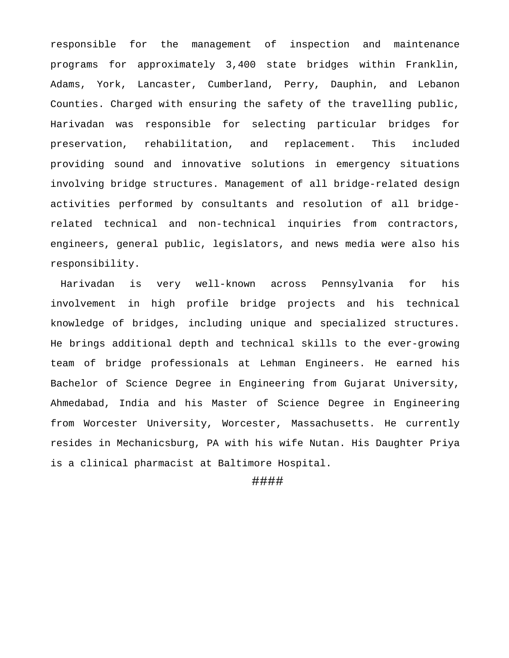responsible for the management of inspection and maintenance programs for approximately 3,400 state bridges within Franklin, Adams, York, Lancaster, Cumberland, Perry, Dauphin, and Lebanon Counties. Charged with ensuring the safety of the travelling public, Harivadan was responsible for selecting particular bridges for preservation, rehabilitation, and replacement. This included providing sound and innovative solutions in emergency situations involving bridge structures. Management of all bridge-related design activities performed by consultants and resolution of all bridgerelated technical and non-technical inquiries from contractors, engineers, general public, legislators, and news media were also his responsibility.

Harivadan is very well-known across Pennsylvania for his involvement in high profile bridge projects and his technical knowledge of bridges, including unique and specialized structures. He brings additional depth and technical skills to the ever-growing team of bridge professionals at Lehman Engineers. He earned his Bachelor of Science Degree in Engineering from Gujarat University, Ahmedabad, India and his Master of Science Degree in Engineering from Worcester University, Worcester, Massachusetts. He currently resides in Mechanicsburg, PA with his wife Nutan. His Daughter Priya is a clinical pharmacist at Baltimore Hospital.

## ####